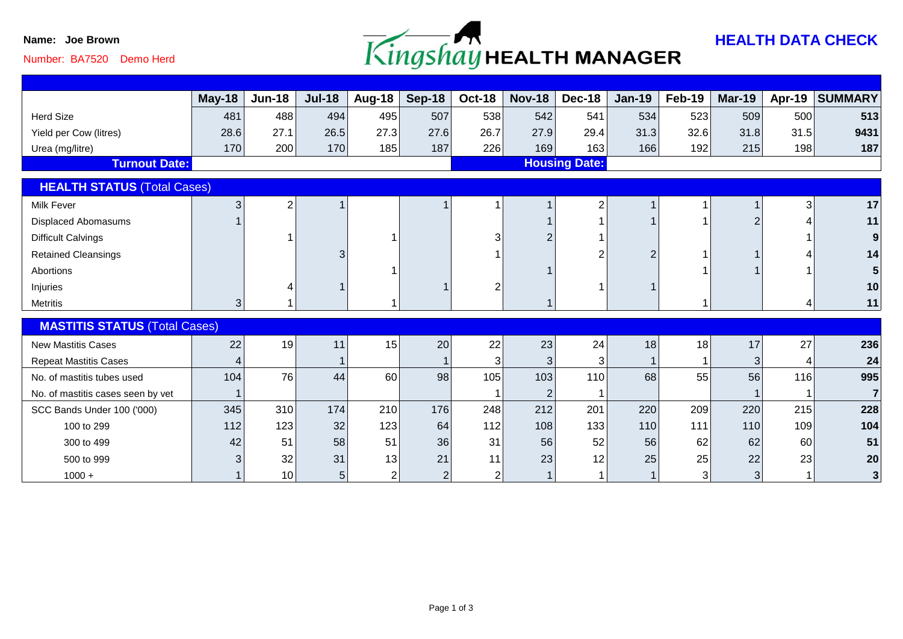

# Number: BA7520 Demo Herd

|                                      | May-18 | <b>Jun-18</b>   | <b>Jul-18</b> | <b>Aug-18</b>  | <b>Sep-18</b> | <b>Oct-18</b>        | <b>Nov-18</b>  | <b>Dec-18</b> | <b>Jan-19</b> | Feb-19 | <b>Mar-19</b>  | Apr-19         | <b>SUMMARY</b> |
|--------------------------------------|--------|-----------------|---------------|----------------|---------------|----------------------|----------------|---------------|---------------|--------|----------------|----------------|----------------|
| <b>Herd Size</b>                     | 481    | 488             | 494           | 495            | 507           | 538                  | 542            | 541           | 534           | 523    | 509            | 500            | 513            |
| Yield per Cow (litres)               | 28.6   | 27.1            | 26.5          | 27.3           | 27.6          | 26.7                 | 27.9           | 29.4          | 31.3          | 32.6   | 31.8           | 31.5           | 9431           |
| Urea (mg/litre)                      | 170    | 200             | 170           | 185            | 187           | 226                  | 169            | 163           | 166           | 192    | 215            | 198            | 187            |
| <b>Turnout Date:</b>                 |        |                 |               |                |               | <b>Housing Date:</b> |                |               |               |        |                |                |                |
| <b>HEALTH STATUS (Total Cases)</b>   |        |                 |               |                |               |                      |                |               |               |        |                |                |                |
| <b>Milk Fever</b>                    | 3      | 2               |               |                |               |                      |                | 2             |               |        |                | 3 <sup>1</sup> | 17             |
| <b>Displaced Abomasums</b>           |        |                 |               |                |               |                      |                |               |               |        | $\overline{2}$ |                | 11             |
| <b>Difficult Calvings</b>            |        |                 |               |                |               | 3                    |                |               |               |        |                |                |                |
| <b>Retained Cleansings</b>           |        |                 | 3             |                |               |                      |                |               |               |        |                |                | 14             |
| Abortions                            |        |                 |               |                |               |                      |                |               |               |        |                |                |                |
| Injuries                             |        |                 |               |                |               |                      |                |               |               |        |                |                | 10             |
| <b>Metritis</b>                      | 3      |                 |               |                |               |                      |                |               |               |        |                |                | 11             |
| <b>MASTITIS STATUS (Total Cases)</b> |        |                 |               |                |               |                      |                |               |               |        |                |                |                |
| <b>New Mastitis Cases</b>            | 22     | 19              | 11            | 15             | 20            | 22                   | 23             | 24            | 18            | 18     | 17             | 27             | 236            |
| <b>Repeat Mastitis Cases</b>         |        |                 |               |                |               | 3 <sup>1</sup>       | 3              | 3             |               |        | 3              | 4              | 24             |
| No. of mastitis tubes used           | 104    | 76              | 44            | 60             | 98            | 105                  | 103            | 110           | 68            | 55     | 56             | 116            | 995            |
| No. of mastitis cases seen by vet    |        |                 |               |                |               |                      | $\overline{2}$ |               |               |        |                |                | $\overline{7}$ |
| SCC Bands Under 100 ('000)           | 345    | 310             | 174           | 210            | 176           | 248                  | 212            | 201           | 220           | 209    | 220            | 215            | 228            |
| 100 to 299                           | 112    | 123             | 32            | 123            | 64            | 112                  | 108            | 133           | 110           | 111    | 110            | 109            | 104            |
| 300 to 499                           | 42     | 51              | 58            | 51             | 36            | 31                   | 56             | 52            | 56            | 62     | 62             | 60             | 51             |
| 500 to 999                           |        | 32              | 31            | 13             | 21            | 11                   | 23             | 12            | 25            | 25     | 22             | 23             | 20             |
| $1000 +$                             |        | 10 <sup>1</sup> | 5             | $\overline{2}$ | 2             | $\overline{2}$       |                |               |               | 3      | 3 <sup>1</sup> |                | 3 <sup>1</sup> |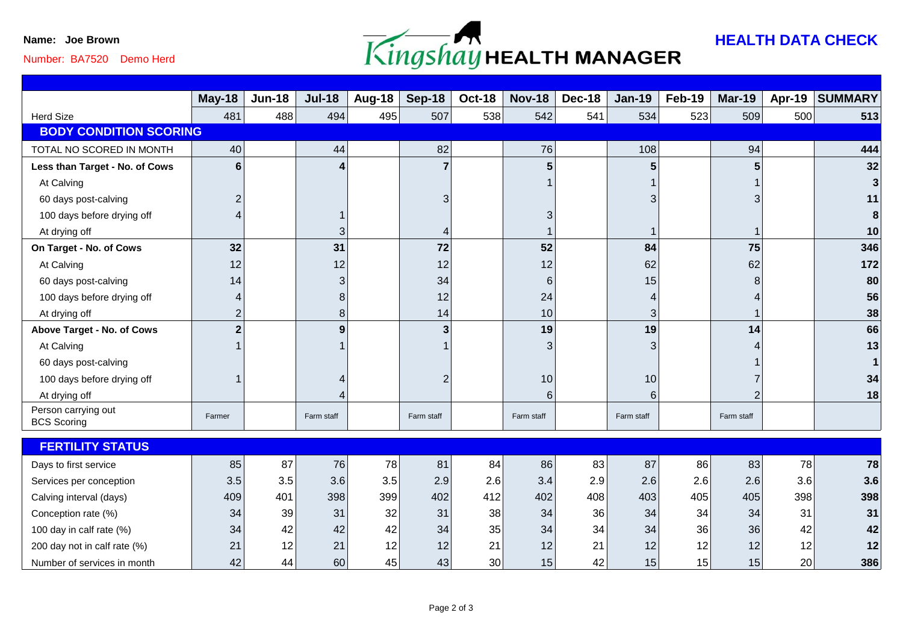

## Number: BA7520 Demo Herd

|                                           | $May-18$       | <b>Jun-18</b> | <b>Jul-18</b> | Aug-18 | <b>Sep-18</b>  | <b>Oct-18</b>   | <b>Nov-18</b> | <b>Dec-18</b> | <b>Jan-19</b>  | Feb-19 | <b>Mar-19</b> | Apr-19 | <b>SUMMARY</b> |
|-------------------------------------------|----------------|---------------|---------------|--------|----------------|-----------------|---------------|---------------|----------------|--------|---------------|--------|----------------|
| <b>Herd Size</b>                          | 481            | 488           | 494           | 495    | 507            | 538             | 542           | 541           | 534            | 523    | 509           | 500    | 513            |
| <b>BODY CONDITION SCORING</b>             |                |               |               |        |                |                 |               |               |                |        |               |        |                |
| TOTAL NO SCORED IN MONTH                  | 40             |               | 44            |        | 82             |                 | 76            |               | 108            |        | 94            |        | 444            |
| Less than Target - No. of Cows            | 6              |               |               |        | 7              |                 |               |               |                |        |               |        | 32             |
| At Calving                                |                |               |               |        |                |                 |               |               |                |        |               |        |                |
| 60 days post-calving                      | 2              |               |               |        | 3              |                 |               |               |                |        |               |        | 11             |
| 100 days before drying off                |                |               |               |        |                |                 | 3             |               |                |        |               |        |                |
| At drying off                             |                |               | 3             |        |                |                 |               |               |                |        |               |        | 10             |
| On Target - No. of Cows                   | 32             |               | 31            |        | 72             |                 | 52            |               | 84             |        | 75            |        | 346            |
| At Calving                                | 12             |               | 12            |        | 12             |                 | 12            |               | 62             |        | 62            |        | 172            |
| 60 days post-calving                      | 14             |               | 3             |        | 34             |                 | 6             |               | 15             |        |               |        | 80             |
| 100 days before drying off                |                |               | 8             |        | 12             |                 | 24            |               |                |        |               |        | 56             |
| At drying off                             | 2              |               | 8             |        | 14             |                 | 10            |               | 3              |        |               |        | 38             |
| Above Target - No. of Cows                | $\overline{2}$ |               | 9             |        | 3              |                 | 19            |               | 19             |        | 14            |        | 66             |
| At Calving                                |                |               |               |        |                |                 | 3             |               |                |        |               |        | 13             |
| 60 days post-calving                      |                |               |               |        |                |                 |               |               |                |        |               |        |                |
| 100 days before drying off                |                |               |               |        | $\overline{2}$ |                 | 10            |               | 10             |        |               |        | 34             |
| At drying off                             |                |               |               |        |                |                 | 6             |               | 6 <sub>1</sub> |        |               |        | 18             |
| Person carrying out<br><b>BCS Scoring</b> | Farmer         |               | Farm staff    |        | Farm staff     |                 | Farm staff    |               | Farm staff     |        | Farm staff    |        |                |
|                                           |                |               |               |        |                |                 |               |               |                |        |               |        |                |
| <b>FERTILITY STATUS</b>                   |                |               |               |        |                |                 |               |               |                |        |               |        |                |
| Days to first service                     | 85             | 87            | 76            | 78     | 81             | 84              | 86            | 83            | 87             | 86     | 83            | 78     | 78             |
| Services per conception                   | 3.5            | 3.5           | 3.6           | 3.5    | 2.9            | 2.6             | 3.4           | 2.9           | 2.6            | 2.6    | 2.6           | 3.6    | 3.6            |
| Calving interval (days)                   | 409            | 401           | 398           | 399    | 402            | 412             | 402           | 408           | 403            | 405    | 405           | 398    | 398            |
| Conception rate (%)                       | 34             | 39            | 31            | 32     | 31             | 38              | 34            | 36            | 34             | 34     | 34            | 31     | 31             |
| 100 day in calf rate (%)                  | 34             | 42            | 42            | 42     | 34             | 35              | 34            | 34            | 34             | 36     | 36            | 42     | 42             |
| 200 day not in calf rate (%)              | 21             | 12            | 21            | 12     | 12             | 21              | 12            | 21            | 12             | 12     | 12            | 12     | 12             |
| Number of services in month               | 42             | 44            | 60            | 45     | 43             | 30 <sup>2</sup> | 15            | 42            | 15             | 15     | 15            | 20     | 386            |